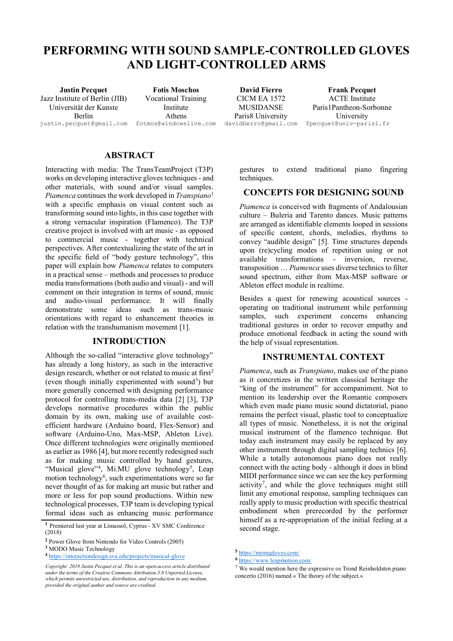# **PERFORMING WITH SOUND SAMPLE-CONTROLLED GLOVES AND LIGHT-CONTROLLED ARMS**

Jazz Institute of Berlin (JIB) Universität der Kunste Berlin [justin.pecquet@gmail.com](mailto:justin.pecquet@gmail.com) [fotmos@windowslive.com](mailto:fotmos@windowslive.com)

**Justin Pecquet Fotis Moschos David Fierro Frank Pecquet** Vocational Training Institute Athens

CICM EA 1572 **MUSIDANSE** Paris8 University<br>davidfierro@gmail.com

ACTE Institute Paris1Pantheon-Sorbonne University<br>fpecquet@univ-paris1.fr

# **ABSTRACT**

Interacting with media: The TransTeamProject (T3P) works on developing interactive gloves techniques - and other materials, with sound and/or visual samples. *Piamenca* continues the work developed in *Transpiano*<sup>1</sup> with a specific emphasis on visual content such as transforming sound into lights, in this case together with a strong vernacular inspiration (Flamenco). The T3P creative project is involved with art music - as opposed to commercial music - together with technical perspectives. After contextualizing the state of the art in the specific field of "body gesture technology", this paper will explain how *Piamenca* relates to computers in a practical sense – methods and processes to produce media transformations (both audio and visual) - and will comment on their integration in terms of sound, music and audio-visual performance. It will finally demonstrate some ideas such as trans-music orientations with regard to enhancement theories in relation with the transhumanism movement [1].

#### **INTRODUCTION**

Although the so-called "interactive glove technology" has already a long history, as such in the interactive design research, whether or not related to music at first<sup>2</sup> (even though initially experimented with sound<sup>3</sup>) but more generally concerned with designing performance protocol for controlling trans-media data [2] [3], T3P develops normative procedures within the public domain by its own, making use of available costefficient hardware (Arduino board, Flex-Sensor) and software (Arduino-Uno, Max-MSP, Ableton Live). Once different technologies were originally mentioned as earlier as 1986 [4], but more recently redesigned such as for making music controlled by hand gestures, "Musical glove"<sup>4</sup>, Mi.MU glove technology<sup>5</sup>, Leap motion technology<sup>6</sup>, such experimentations were so far never thought of as for making art music but rather and more or less for pop sound productions. Within new technological processes, T3P team is developing typical formal ideas such as enhancing music performance

gestures to extend traditional piano fingering techniques.

#### **CONCEPTS FOR DESIGNING SOUND**

*Piamenca* is conceived with fragments of Andalousian culture – Buleria and Tarento dances. Music patterns are arranged as identifiable elements looped in sessions of specific content, chords, melodies, rhythms to convey "audible design" [5]. Time structures depends upon (re)cycling modes of repetition using or not available transformations - inversion reverse transposition … *Piamenca* uses diverse technics to filter sound spectrum, either from Max-MSP software or Ableton effect module in realtime.

Besides a quest for renewing acoustical sources operating on traditional instrument while performing samples, such experiment concerns enhancing traditional gestures in order to recover empathy and produce emotional feedback in acting the sound with the help of visual representation.

#### **INSTRUMENTAL CONTEXT**

*Piamenca*, such as *Transpiano*, makes use of the piano as it concretizes in the written classical heritage the "king of the instrument" for accompaniment. Not to mention its leadership over the Romantic composers which even made piano music sound dictatorial, piano remains the perfect visual, plastic tool to conceptualize all types of music. Nonetheless, it is not the original musical instrument of the flamenco technique. But today each instrument may easily be replaced by any other instrument through digital sampling technics [6]. While a totally autonomous piano does not really connect with the acting body - although it does in blind MIDI performance since we can see the key performing activity<sup>7</sup> , and while the glove techniques might still limit any emotional response, sampling techniques can really apply to music production with specific theatrical embodiment when prerecorded by the performer himself as a re-appropriation of the initial feeling at a second stage.

**<sup>1</sup>** Premiered last year at Limassol, Cyprus - XV SMC Conference (2018)

**<sup>2</sup>** Power Glove from Nintendo for Video Controls (2005)

**<sup>3</sup>** MODO Music Technology

**<sup>4</sup>** https://interactiondesign.sva.edu/projects/musical-glove

*Copyright: 2019 Justin Pecquet et al. This is an open-access article distributed under the terms of the Creative Commons Attribution 3.0 Unported License,*  which permits unrestricted use, distribution, and reproduction in any medium, *[provided the original author and source are credited.](https://interactiondesign.sva.edu/projects/musical-glove)*

**<sup>5</sup>** <https://mimugloves.com/>

**<sup>6</sup>** <https://www.leapmotion.com/>

 $7$  We would mention here the expressive os Trond Reinholdsten piano concerto (2016) named « The theory of the subject.»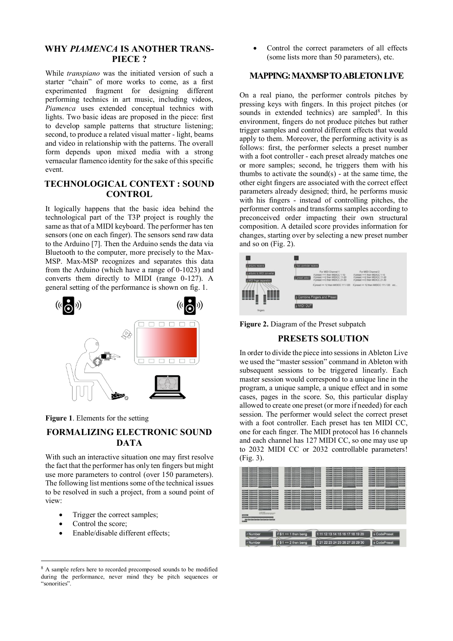#### **WHY** *PIAMENCA* **IS ANOTHER TRANS-PIECE ?**

While *transpiano* was the initiated version of such a starter "chain" of more works to come, as a first experimented fragment for designing different performing technics in art music, including videos, *Piamenca* uses extended conceptual technics with lights. Two basic ideas are proposed in the piece: first to develop sample patterns that structure listening; second, to produce a related visual matter - light, beams and video in relationship with the patterns. The overall form depends upon mixed media with a strong vernacular flamenco identity for the sake of this specific event.

## **TECHNOLOGICAL CONTEXT : SOUND CONTROL**

It logically happens that the basic idea behind the technological part of the T3P project is roughly the same as that of a MIDI keyboard. The performer has ten sensors (one on each finger). The sensors send raw data to the Arduino [7]. Then the Arduino sends the data via Bluetooth to the computer, more precisely to the Max-MSP. Max-MSP recognizes and separates this data from the Arduino (which have a range of 0-1023) and converts them directly to MIDI (range 0-127). A general setting of the performance is shown on fig. 1.



**Figure 1**. Elements for the setting

# **FORMALIZING ELECTRONIC SOUND DATA**

With such an interactive situation one may first resolve the fact that the performer has only ten fingers but might use more parameters to control (over 150 parameters). The following list mentions some of the technical issues to be resolved in such a project, from a sound point of view:

- Trigger the correct samples;
- Control the score:

 $\overline{a}$ 

• Enable/disable different effects;

Control the correct parameters of all effects (some lists more than 50 parameters), etc.

#### **MAPPING: MAXMSP TO ABLETON LIVE**

On a real piano, the performer controls pitches by pressing keys with fingers. In this project pitches (or sounds in extended technics) are sampled<sup>8</sup>. In this environment, fingers do not produce pitches but rather trigger samples and control different effects that would apply to them. Moreover, the performing activity is as follows: first, the performer selects a preset number with a foot controller - each preset already matches one or more samples; second, he triggers them with his thumbs to activate the sound $(s)$  - at the same time, the other eight fingers are associated with the correct effect parameters already designed; third, he performs music with his fingers - instead of controlling pitches, the performer controls and transforms samples according to preconceived order impacting their own structural composition. A detailed score provides information for changes, starting over by selecting a new preset number and so on (Fig. 2).



**Figure 2.** Diagram of the Preset subpatch

#### **PRESETS SOLUTION**

In order to divide the piece into sessions in Ableton Live we used the "master session" command in Ableton with subsequent sessions to be triggered linearly. Each master session would correspond to a unique line in the program, a unique sample, a unique effect and in some cases, pages in the score. So, this particular display allowed to create one preset (or more if needed) for each session. The performer would select the correct preset with a foot controller. Each preset has ten MIDI CC, one for each finger. The MIDI protocol has 16 channels and each channel has 127 MIDI CC, so one may use up to 2032 MIDI CC or 2032 controllable parameters! (Fig. 3).



<sup>&</sup>lt;sup>8</sup> A sample refers here to recorded precomposed sounds to be modified during the performance, never mind they be pitch sequences or "sonorities".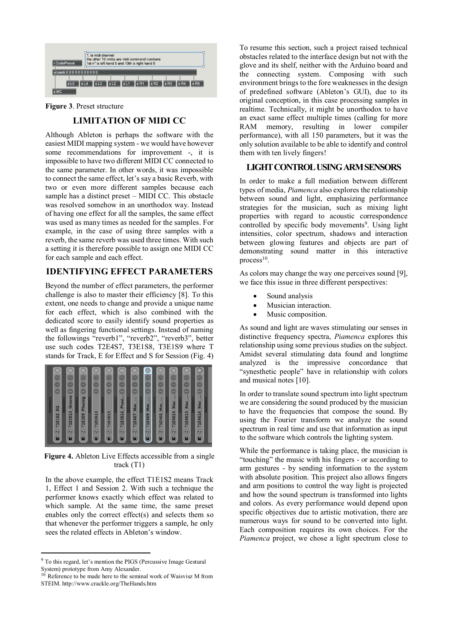

#### **Figure 3**. Preset structure

## **LIMITATION OF MIDI CC**

Although Ableton is perhaps the software with the easiest MIDI mapping system - we would have however some recommendations for improvement -, it is impossible to have two different MIDI CC connected to the same parameter. In other words, it was impossible to connect the same effect, let's say a basic Reverb, with two or even more different samples because each sample has a distinct preset – MIDI CC. This obstacle was resolved somehow in an unorthodox way. Instead of having one effect for all the samples, the same effect was used as many times as needed for the samples. For example, in the case of using three samples with a reverb, the same reverb was used three times. With such a setting it is therefore possible to assign one MIDI CC for each sample and each effect.

#### **IDENTIFYING EFFECT PARAMETERS**

Beyond the number of effect parameters, the performer challenge is also to master their efficiency [8]. To this extent, one needs to change and provide a unique name for each effect, which is also combined with the dedicated score to easily identify sound properties as well as fingering functional settings. Instead of naming the followings "reverb1", "reverb2", "reverb3", better use such codes T2E4S7, T3E1S8, T3E1S9 where T stands for Track, E for Effect and S for Session (Fig. 4)



**Figure 4.** Ableton Live Effects accessible from a single track (T1)

In the above example, the effect T1E1S2 means Track 1, Effect 1 and Session 2. With such a technique the performer knows exactly which effect was related to which sample. At the same time, the same preset enables only the correct effect(s) and selects them so that whenever the performer triggers a sample, he only sees the related effects in Ableton's window.

 $\overline{a}$ 

To resume this section, such a project raised technical obstacles related to the interface design but not with the glove and its shelf, neither with the Arduino board and the connecting system. Composing with such environment brings to the fore weaknesses in the design of predefined software (Ableton's GUI), due to its original conception, in this case processing samples in realtime. Technically, it might be unorthodox to have an exact same effect multiple times (calling for more RAM memory, resulting in lower compiler performance), with all 150 parameters, but it was the only solution available to be able to identify and control them with ten lively fingers!

## **LIGHT CONTROL USING ARM SENSORS**

In order to make a full mediation between different types of media, *Piamenca* also explores the relationship between sound and light, emphasizing performance strategies for the musician, such as mixing light properties with regard to acoustic correspondence controlled by specific body movements<sup>9</sup>. Using light intensities, color spectrum, shadows and interaction between glowing features and objects are part of demonstrating sound matter in this interactive process $10$ .

As colors may change the way one perceives sound [9], we face this issue in three different perspectives:

- Sound analysis
- Musician interaction.
- Music composition.

As sound and light are waves stimulating our senses in distinctive frequency spectra, *Piamenca* explores this relationship using some previous studies on the subject. Amidst several stimulating data found and longtime analyzed is the impressive concordance that "synesthetic people" have in relationship with colors and musical notes [10].

In order to translate sound spectrum into light spectrum we are considering the sound produced by the musician to have the frequencies that compose the sound. By using the Fourier transform we analyze the sound spectrum in real time and use that information as input to the software which controls the lighting system.

While the performance is taking place, the musician is "touching" the music with his fingers - or according to arm gestures - by sending information to the system with absolute position. This project also allows fingers and arm positions to control the way light is projected and how the sound spectrum is transformed into lights and colors. As every performance would depend upon specific objectives due to artistic motivation, there are numerous ways for sound to be converted into light. Each composition requires its own choices. For the *Piamenca* project, we chose a light spectrum close to

<sup>9</sup> To this regard, let's mention the PIGS (Percussive Image Gestural System) prototype from Amy Alexander.

 $10$  Reference to be made here to the seminal work of Waisvisz M from STEIM. <http://www.crackle.org/TheHands.htm>